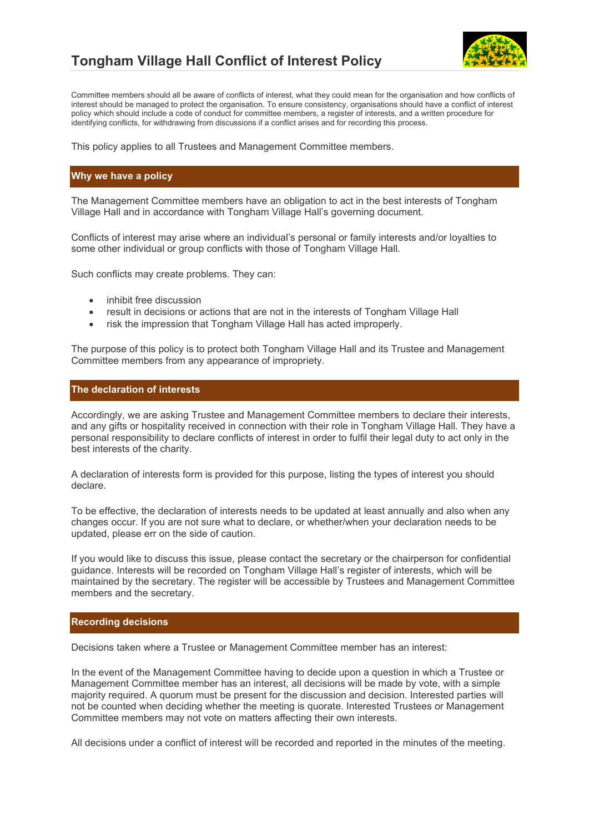

## **Tongham Village Hall Conflict of Interest Policy**

Committee members should all be aware of conflicts of interest, what they could mean for the organisation and how conflicts of interest should be managed to protect the organisation. To ensure consistency, organisations should have a conflict of interest policy which should include a code of conduct for committee members, a register of interests, and a written procedure for identifying conflicts, for withdrawing from discussions if a conflict arises and for recording this process.

This policy applies to all Trustees and Management Committee members.

#### **Why we have a policy**

The Management Committee members have an obligation to act in the best interests of Tongham Village Hall and in accordance with Tongham Village Hall's governing document.

Conflicts of interest may arise where an individual's personal or family interests and/or loyalties to some other individual or group conflicts with those of Tongham Village Hall.

Such conflicts may create problems. They can:

- inhibit free discussion
- result in decisions or actions that are not in the interests of Tongham Village Hall
- risk the impression that Tongham Village Hall has acted improperly.

The purpose of this policy is to protect both Tongham Village Hall and its Trustee and Management Committee members from any appearance of impropriety.

#### **The declaration of interests**

Accordingly, we are asking Trustee and Management Committee members to declare their interests, and any gifts or hospitality received in connection with their role in Tongham Village Hall. They have a personal responsibility to declare conflicts of interest in order to fulfil their legal duty to act only in the best interests of the charity.

A declaration of interests form is provided for this purpose, listing the types of interest you should declare.

To be effective, the declaration of interests needs to be updated at least annually and also when any changes occur. If you are not sure what to declare, or whether/when your declaration needs to be updated, please err on the side of caution.

If you would like to discuss this issue, please contact the secretary or the chairperson for confidential guidance. Interests will be recorded on Tongham Village Hall's register of interests, which will be maintained by the secretary. The register will be accessible by Trustees and Management Committee members and the secretary.

#### **Recording decisions**

Decisions taken where a Trustee or Management Committee member has an interest:

In the event of the Management Committee having to decide upon a question in which a Trustee or Management Committee member has an interest, all decisions will be made by vote, with a simple majority required. A quorum must be present for the discussion and decision. Interested parties will not be counted when deciding whether the meeting is quorate. Interested Trustees or Management Committee members may not vote on matters affecting their own interests.

All decisions under a conflict of interest will be recorded and reported in the minutes of the meeting.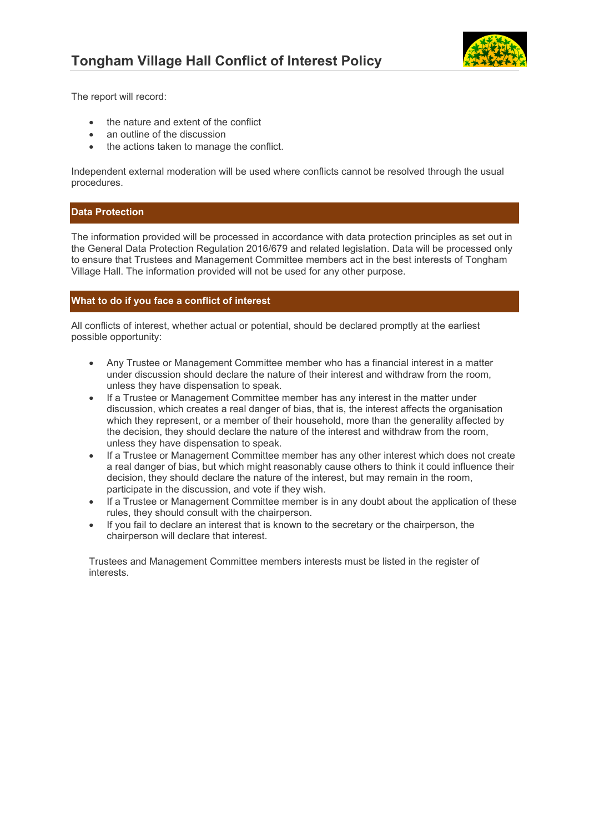

The report will record:

- the nature and extent of the conflict
- an outline of the discussion
- the actions taken to manage the conflict.

Independent external moderation will be used where conflicts cannot be resolved through the usual procedures.

#### **Data Protection**

The information provided will be processed in accordance with data protection principles as set out in the General Data Protection Regulation 2016/679 and related legislation. Data will be processed only to ensure that Trustees and Management Committee members act in the best interests of Tongham Village Hall. The information provided will not be used for any other purpose.

#### **What to do if you face a conflict of interest**

All conflicts of interest, whether actual or potential, should be declared promptly at the earliest possible opportunity:

- Any Trustee or Management Committee member who has a financial interest in a matter under discussion should declare the nature of their interest and withdraw from the room, unless they have dispensation to speak.
- If a Trustee or Management Committee member has any interest in the matter under discussion, which creates a real danger of bias, that is, the interest affects the organisation which they represent, or a member of their household, more than the generality affected by the decision, they should declare the nature of the interest and withdraw from the room, unless they have dispensation to speak.
- If a Trustee or Management Committee member has any other interest which does not create a real danger of bias, but which might reasonably cause others to think it could influence their decision, they should declare the nature of the interest, but may remain in the room, participate in the discussion, and vote if they wish.
- If a Trustee or Management Committee member is in any doubt about the application of these rules, they should consult with the chairperson.
- If you fail to declare an interest that is known to the secretary or the chairperson, the chairperson will declare that interest.

Trustees and Management Committee members interests must be listed in the register of interests.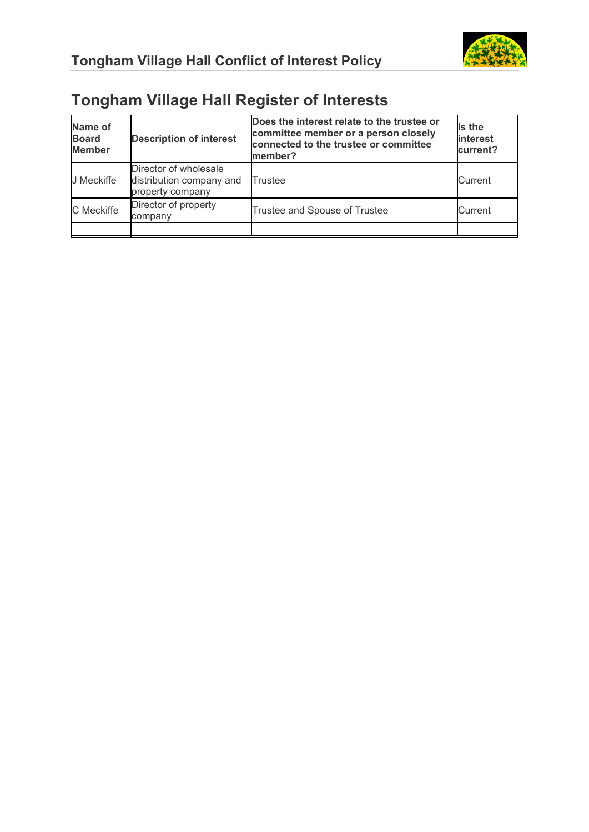

# **Tongham Village Hall Register of Interests**

| Name of<br><b>Board</b><br><b>Member</b> | <b>Description of interest</b>                                        | Does the interest relate to the trustee or<br>committee member or a person closely<br>connected to the trustee or committee<br>member? | Is the<br>interest<br>current? |
|------------------------------------------|-----------------------------------------------------------------------|----------------------------------------------------------------------------------------------------------------------------------------|--------------------------------|
| J Meckiffe                               | Director of wholesale<br>distribution company and<br>property company | Trustee                                                                                                                                | Current                        |
| C Meckiffe                               | Director of property<br>company                                       | Trustee and Spouse of Trustee                                                                                                          | Current                        |
|                                          |                                                                       |                                                                                                                                        |                                |